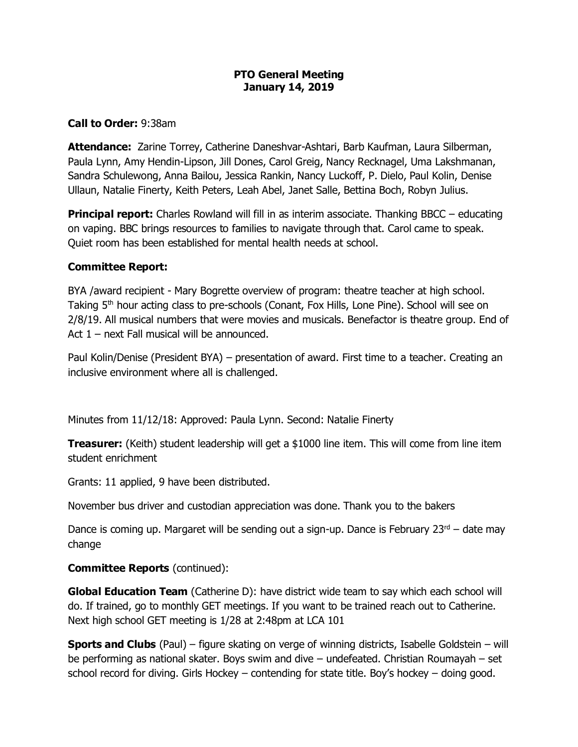#### **PTO General Meeting January 14, 2019**

## **Call to Order:** 9:38am

**Attendance:** Zarine Torrey, Catherine Daneshvar-Ashtari, Barb Kaufman, Laura Silberman, Paula Lynn, Amy Hendin-Lipson, Jill Dones, Carol Greig, Nancy Recknagel, Uma Lakshmanan, Sandra Schulewong, Anna Bailou, Jessica Rankin, Nancy Luckoff, P. Dielo, Paul Kolin, Denise Ullaun, Natalie Finerty, Keith Peters, Leah Abel, Janet Salle, Bettina Boch, Robyn Julius.

**Principal report:** Charles Rowland will fill in as interim associate. Thanking BBCC – educating on vaping. BBC brings resources to families to navigate through that. Carol came to speak. Quiet room has been established for mental health needs at school.

#### **Committee Report:**

BYA /award recipient - Mary Bogrette overview of program: theatre teacher at high school. Taking 5<sup>th</sup> hour acting class to pre-schools (Conant, Fox Hills, Lone Pine). School will see on 2/8/19. All musical numbers that were movies and musicals. Benefactor is theatre group. End of Act 1 – next Fall musical will be announced.

Paul Kolin/Denise (President BYA) – presentation of award. First time to a teacher. Creating an inclusive environment where all is challenged.

Minutes from 11/12/18: Approved: Paula Lynn. Second: Natalie Finerty

**Treasurer:** (Keith) student leadership will get a \$1000 line item. This will come from line item student enrichment

Grants: 11 applied, 9 have been distributed.

November bus driver and custodian appreciation was done. Thank you to the bakers

Dance is coming up. Margaret will be sending out a sign-up. Dance is February  $23^{rd}$  – date may change

## **Committee Reports** (continued):

**Global Education Team** (Catherine D): have district wide team to say which each school will do. If trained, go to monthly GET meetings. If you want to be trained reach out to Catherine. Next high school GET meeting is 1/28 at 2:48pm at LCA 101

**Sports and Clubs** (Paul) – figure skating on verge of winning districts, Isabelle Goldstein – will be performing as national skater. Boys swim and dive – undefeated. Christian Roumayah – set school record for diving. Girls Hockey – contending for state title. Boy's hockey – doing good.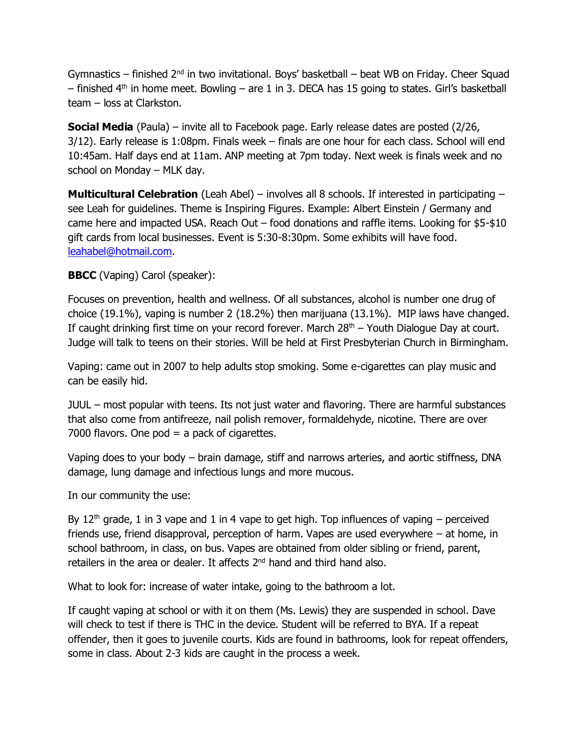Gymnastics – finished  $2^{nd}$  in two invitational. Boys' basketball – beat WB on Friday. Cheer Squad  $-$  finished 4<sup>th</sup> in home meet. Bowling  $-$  are 1 in 3. DECA has 15 going to states. Girl's basketball team – loss at Clarkston.

**Social Media** (Paula) – invite all to Facebook page. Early release dates are posted (2/26, 3/12). Early release is 1:08pm. Finals week – finals are one hour for each class. School will end 10:45am. Half days end at 11am. ANP meeting at 7pm today. Next week is finals week and no school on Monday – MLK day.

**Multicultural Celebration** (Leah Abel) – involves all 8 schools. If interested in participating – see Leah for guidelines. Theme is Inspiring Figures. Example: Albert Einstein / Germany and came here and impacted USA. Reach Out – food donations and raffle items. Looking for \$5-\$10 gift cards from local businesses. Event is 5:30-8:30pm. Some exhibits will have food. [leahabel@hotmail.com.](mailto:leahabel@hotmail.com)

# **BBCC** (Vaping) Carol (speaker):

Focuses on prevention, health and wellness. Of all substances, alcohol is number one drug of choice (19.1%), vaping is number 2 (18.2%) then marijuana (13.1%). MIP laws have changed. If caught drinking first time on your record forever. March  $28<sup>th</sup>$  – Youth Dialogue Day at court. Judge will talk to teens on their stories. Will be held at First Presbyterian Church in Birmingham.

Vaping: came out in 2007 to help adults stop smoking. Some e-cigarettes can play music and can be easily hid.

JUUL – most popular with teens. Its not just water and flavoring. There are harmful substances that also come from antifreeze, nail polish remover, formaldehyde, nicotine. There are over 7000 flavors. One  $pod = a$  pack of cigarettes.

Vaping does to your body – brain damage, stiff and narrows arteries, and aortic stiffness, DNA damage, lung damage and infectious lungs and more mucous.

In our community the use:

By 12<sup>th</sup> grade, 1 in 3 vape and 1 in 4 vape to get high. Top influences of vaping – perceived friends use, friend disapproval, perception of harm. Vapes are used everywhere – at home, in school bathroom, in class, on bus. Vapes are obtained from older sibling or friend, parent, retailers in the area or dealer. It affects 2<sup>nd</sup> hand and third hand also.

What to look for: increase of water intake, going to the bathroom a lot.

If caught vaping at school or with it on them (Ms. Lewis) they are suspended in school. Dave will check to test if there is THC in the device. Student will be referred to BYA. If a repeat offender, then it goes to juvenile courts. Kids are found in bathrooms, look for repeat offenders, some in class. About 2-3 kids are caught in the process a week.